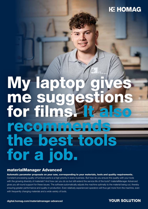## **HC HOMAG**

# My lapto me sugges for films. recommends the best tools for a job.

### materialManager Advanced

Automatic parameter proposals on your saw, corresponding to your materials, tools and quality requirements. Constant processing quality of furniture parts is a high priority in every business. But how do you ensure this quality with your tools

with the growing diversity of materials? And how can you do so but still extend the service life of the tools? materialManager Advanced gives you all-round support for these issues. The software automatically adjusts the machine optimally to the material being cut, thereby ensuring greater performance and quality in production. Even relatively experienced operators will thus get more from the machine, even with frequently changing materials and a wide variety of tools.